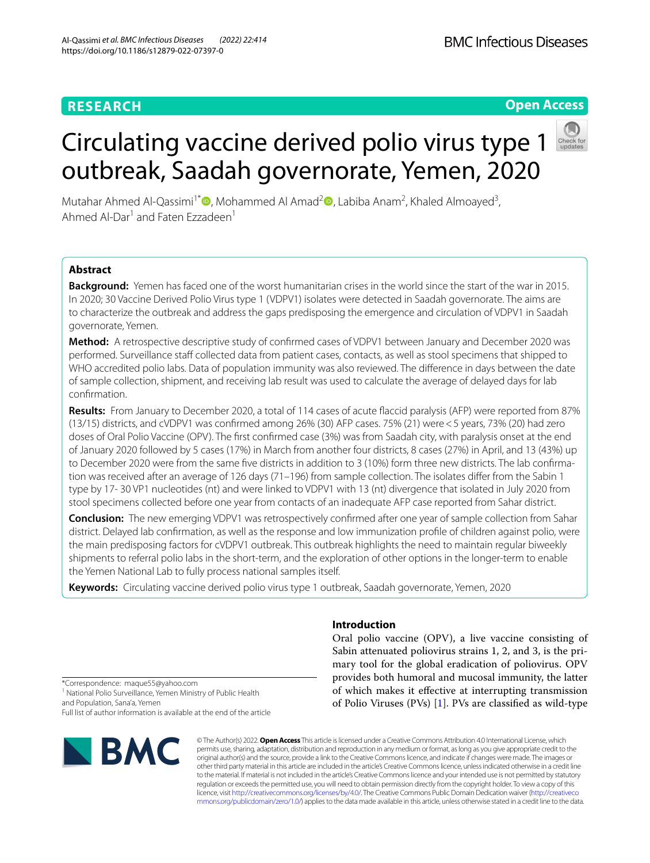# **RESEARCH**

# **Open Access**

outbreak, Saadah governorate, Yemen, 2020 Mutahar Ahmed Al-Qassimi<sup>1\*</sup><sup>®</sup>[,](https://orcid.org/0000-0003-4237-7773) Mohammed Al Amad<sup>[2](https://orcid.org/0000-0002-1566-4964)</sup><sup>®</sup>, Labiba Anam<sup>2</sup>, Khaled Almoayed<sup>3</sup>, Ahmed Al-Dar<sup>1</sup> and Faten Ezzadeen<sup>1</sup>

Circulating vaccine derived polio virus type 1

# **Abstract**

**Background:** Yemen has faced one of the worst humanitarian crises in the world since the start of the war in 2015. In 2020; 30 Vaccine Derived Polio Virus type 1 (VDPV1) isolates were detected in Saadah governorate. The aims are to characterize the outbreak and address the gaps predisposing the emergence and circulation of VDPV1 in Saadah governorate, Yemen.

**Method:** A retrospective descriptive study of confrmed cases of VDPV1 between January and December 2020 was performed. Surveillance staff collected data from patient cases, contacts, as well as stool specimens that shipped to WHO accredited polio labs. Data of population immunity was also reviewed. The diference in days between the date of sample collection, shipment, and receiving lab result was used to calculate the average of delayed days for lab confrmation.

**Results:** From January to December 2020, a total of 114 cases of acute faccid paralysis (AFP) were reported from 87% (13/15) districts, and cVDPV1 was confrmed among 26% (30) AFP cases. 75% (21) were<5 years, 73% (20) had zero doses of Oral Polio Vaccine (OPV). The frst confrmed case (3%) was from Saadah city, with paralysis onset at the end of January 2020 followed by 5 cases (17%) in March from another four districts, 8 cases (27%) in April, and 13 (43%) up to December 2020 were from the same five districts in addition to 3 (10%) form three new districts. The lab confirmation was received after an average of 126 days (71–196) from sample collection. The isolates difer from the Sabin 1 type by 17- 30 VP1 nucleotides (nt) and were linked to VDPV1 with 13 (nt) divergence that isolated in July 2020 from stool specimens collected before one year from contacts of an inadequate AFP case reported from Sahar district.

**Conclusion:** The new emerging VDPV1 was retrospectively confrmed after one year of sample collection from Sahar district. Delayed lab confrmation, as well as the response and low immunization profle of children against polio, were the main predisposing factors for cVDPV1 outbreak. This outbreak highlights the need to maintain regular biweekly shipments to referral polio labs in the short-term, and the exploration of other options in the longer-term to enable the Yemen National Lab to fully process national samples itself.

**Keywords:** Circulating vaccine derived polio virus type 1 outbreak, Saadah governorate, Yemen, 2020

# **Introduction**

Oral polio vaccine (OPV), a live vaccine consisting of Sabin attenuated poliovirus strains 1, 2, and 3, is the primary tool for the global eradication of poliovirus. OPV provides both humoral and mucosal immunity, the latter of which makes it efective at interrupting transmission of Polio Viruses (PVs) [[1\]](#page-9-0). PVs are classifed as wild-type

\*Correspondence: maque55@yahoo.com <sup>1</sup> National Polio Surveillance, Yemen Ministry of Public Health and Population, Sana'a, Yemen Full list of author information is available at the end of the article



© The Author(s) 2022. **Open Access** This article is licensed under a Creative Commons Attribution 4.0 International License, which permits use, sharing, adaptation, distribution and reproduction in any medium or format, as long as you give appropriate credit to the original author(s) and the source, provide a link to the Creative Commons licence, and indicate if changes were made. The images or other third party material in this article are included in the article's Creative Commons licence, unless indicated otherwise in a credit line to the material. If material is not included in the article's Creative Commons licence and your intended use is not permitted by statutory regulation or exceeds the permitted use, you will need to obtain permission directly from the copyright holder. To view a copy of this licence, visit [http://creativecommons.org/licenses/by/4.0/.](http://creativecommons.org/licenses/by/4.0/) The Creative Commons Public Domain Dedication waiver ([http://creativeco](http://creativecommons.org/publicdomain/zero/1.0/) [mmons.org/publicdomain/zero/1.0/](http://creativecommons.org/publicdomain/zero/1.0/)) applies to the data made available in this article, unless otherwise stated in a credit line to the data.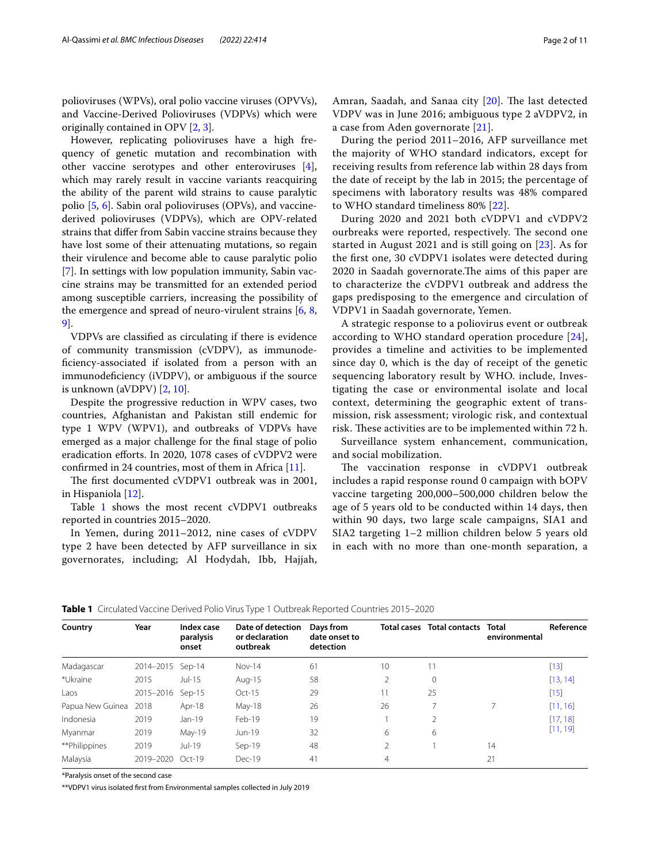polioviruses (WPVs), oral polio vaccine viruses (OPVVs), and Vaccine-Derived Polioviruses (VDPVs) which were originally contained in OPV [[2](#page-9-1), [3\]](#page-9-2).

However, replicating polioviruses have a high frequency of genetic mutation and recombination with other vaccine serotypes and other enteroviruses [\[4](#page-9-3)], which may rarely result in vaccine variants reacquiring the ability of the parent wild strains to cause paralytic polio [[5,](#page-9-4) [6\]](#page-9-5). Sabin oral polioviruses (OPVs), and vaccinederived polioviruses (VDPVs), which are OPV-related strains that difer from Sabin vaccine strains because they have lost some of their attenuating mutations, so regain their virulence and become able to cause paralytic polio [[7\]](#page-9-6). In settings with low population immunity, Sabin vaccine strains may be transmitted for an extended period among susceptible carriers, increasing the possibility of the emergence and spread of neuro-virulent strains [[6](#page-9-5), [8](#page-9-7), [9\]](#page-9-8).

VDPVs are classifed as circulating if there is evidence of community transmission (cVDPV), as immunodefciency-associated if isolated from a person with an immunodefciency (iVDPV), or ambiguous if the source is unknown (aVDPV) [\[2](#page-9-1), [10](#page-9-9)].

Despite the progressive reduction in WPV cases, two countries, Afghanistan and Pakistan still endemic for type 1 WPV (WPV1), and outbreaks of VDPVs have emerged as a major challenge for the fnal stage of polio eradication eforts. In 2020, 1078 cases of cVDPV2 were confrmed in 24 countries, most of them in Africa [[11\]](#page-9-10).

The first documented cVDPV1 outbreak was in 2001, in Hispaniola [[12\]](#page-9-11).

Table [1](#page-1-0) shows the most recent cVDPV1 outbreaks reported in countries 2015–2020.

In Yemen, during 2011–2012, nine cases of cVDPV type 2 have been detected by AFP surveillance in six governorates, including; Al Hodydah, Ibb, Hajjah, Amran, Saadah, and Sanaa city [[20\]](#page-9-12). The last detected VDPV was in June 2016; ambiguous type 2 aVDPV2, in a case from Aden governorate [[21\]](#page-9-13).

During the period 2011–2016, AFP surveillance met the majority of WHO standard indicators, except for receiving results from reference lab within 28 days from the date of receipt by the lab in 2015; the percentage of specimens with laboratory results was 48% compared to WHO standard timeliness 80% [\[22](#page-9-14)].

During 2020 and 2021 both cVDPV1 and cVDPV2 ourbreaks were reported, respectively. The second one started in August 2021 and is still going on [[23\]](#page-9-15). As for the frst one, 30 cVDPV1 isolates were detected during 2020 in Saadah governorate. The aims of this paper are to characterize the cVDPV1 outbreak and address the gaps predisposing to the emergence and circulation of VDPV1 in Saadah governorate, Yemen.

A strategic response to a poliovirus event or outbreak according to WHO standard operation procedure [[24](#page-9-16)], provides a timeline and activities to be implemented since day 0, which is the day of receipt of the genetic sequencing laboratory result by WHO. include, Investigating the case or environmental isolate and local context, determining the geographic extent of transmission, risk assessment; virologic risk, and contextual risk. These activities are to be implemented within 72 h.

Surveillance system enhancement, communication, and social mobilization.

The vaccination response in cVDPV1 outbreak includes a rapid response round 0 campaign with bOPV vaccine targeting 200,000–500,000 children below the age of 5 years old to be conducted within 14 days, then within 90 days, two large scale campaigns, SIA1 and SIA2 targeting 1–2 million children below 5 years old in each with no more than one-month separation, a

<span id="page-1-0"></span>

| Country          | Year      | Index case<br>paralysis<br>onset | Date of detection<br>or declaration<br>outbreak | Days from<br>date onset to<br>detection |                 | Total cases Total contacts | Total<br>environmental | Reference |
|------------------|-----------|----------------------------------|-------------------------------------------------|-----------------------------------------|-----------------|----------------------------|------------------------|-----------|
| Madagascar       | 2014-2015 | Sep-14                           | $Nov-14$                                        | 61                                      | 10 <sup>°</sup> | 11                         |                        | $[13]$    |
| *Ukraine         | 2015      | $Jul-15$                         | Aug-15                                          | 58                                      | 2               | 0                          |                        | [13, 14]  |
| Laos             | 2015-2016 | $Sep-15$                         | $Oct-15$                                        | 29                                      | 11              | 25                         |                        | $[15]$    |
| Papua New Guinea | 2018      | Apr-18                           | $May-18$                                        | 26                                      | 26              |                            |                        | [11, 16]  |
| Indonesia        | 2019      | $Jan-19$                         | Feb-19                                          | 19                                      |                 |                            |                        | [17, 18]  |
| Myanmar          | 2019      | May-19                           | Jun-19                                          | 32                                      | 6               | 6                          |                        | [11, 19]  |
| **Philippines    | 2019      | $ u -19$                         | Sep-19                                          | 48                                      | $\overline{2}$  |                            | 14                     |           |
| Malaysia         | 2019-2020 | $Oct-19$                         | Dec-19                                          | 41                                      | $\overline{4}$  |                            | 21                     |           |

\*Paralysis onset of the second case

\*\*VDPV1 virus isolated frst from Environmental samples collected in July 2019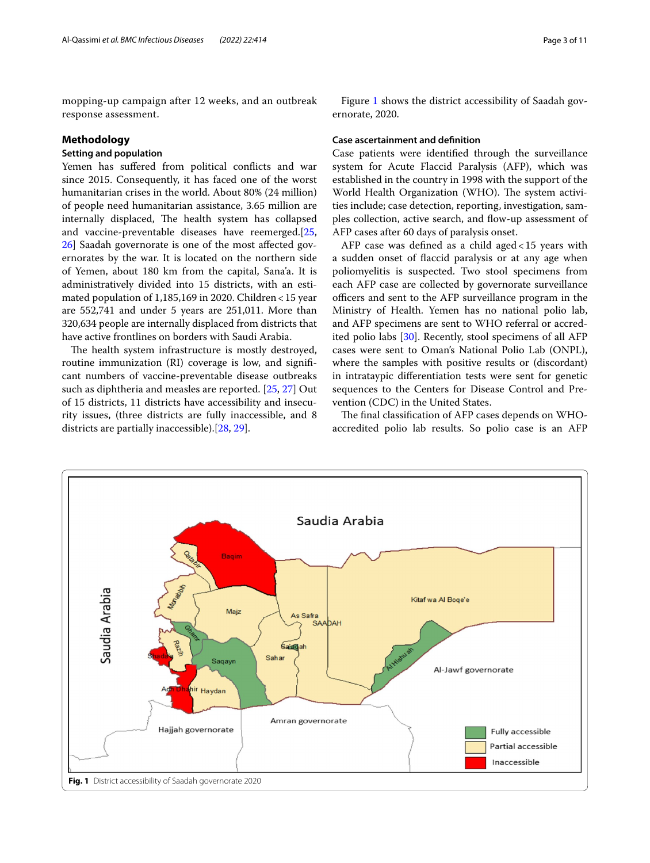mopping-up campaign after 12 weeks, and an outbreak response assessment.

## **Methodology**

## **Setting and population**

Yemen has sufered from political conficts and war since 2015. Consequently, it has faced one of the worst humanitarian crises in the world. About 80% (24 million) of people need humanitarian assistance, 3.65 million are internally displaced, The health system has collapsed and vaccine-preventable diseases have reemerged.[\[25](#page-9-24), [26\]](#page-9-25) Saadah governorate is one of the most afected governorates by the war. It is located on the northern side of Yemen, about 180 km from the capital, Sana'a. It is administratively divided into 15 districts, with an estimated population of 1,185,169 in 2020. Children<15 year are 552,741 and under 5 years are 251,011. More than 320,634 people are internally displaced from districts that have active frontlines on borders with Saudi Arabia.

The health system infrastructure is mostly destroyed, routine immunization (RI) coverage is low, and signifcant numbers of vaccine-preventable disease outbreaks such as diphtheria and measles are reported. [\[25](#page-9-24), [27\]](#page-9-26) Out of 15 districts, 11 districts have accessibility and insecurity issues, (three districts are fully inaccessible, and 8 districts are partially inaccessible).[[28,](#page-9-27) [29](#page-9-28)].

Figure [1](#page-2-0) shows the district accessibility of Saadah governorate, 2020.

## **Case ascertainment and defnition**

Case patients were identifed through the surveillance system for Acute Flaccid Paralysis (AFP), which was established in the country in 1998 with the support of the World Health Organization (WHO). The system activities include; case detection, reporting, investigation, samples collection, active search, and flow-up assessment of AFP cases after 60 days of paralysis onset.

AFP case was defned as a child aged<15 years with a sudden onset of faccid paralysis or at any age when poliomyelitis is suspected. Two stool specimens from each AFP case are collected by governorate surveillance officers and sent to the AFP surveillance program in the Ministry of Health. Yemen has no national polio lab, and AFP specimens are sent to WHO referral or accredited polio labs [[30\]](#page-9-29). Recently, stool specimens of all AFP cases were sent to Oman's National Polio Lab (ONPL), where the samples with positive results or (discordant) in intrataypic diferentiation tests were sent for genetic sequences to the Centers for Disease Control and Prevention (CDC) in the United States.

The final classification of AFP cases depends on WHOaccredited polio lab results. So polio case is an AFP

<span id="page-2-0"></span>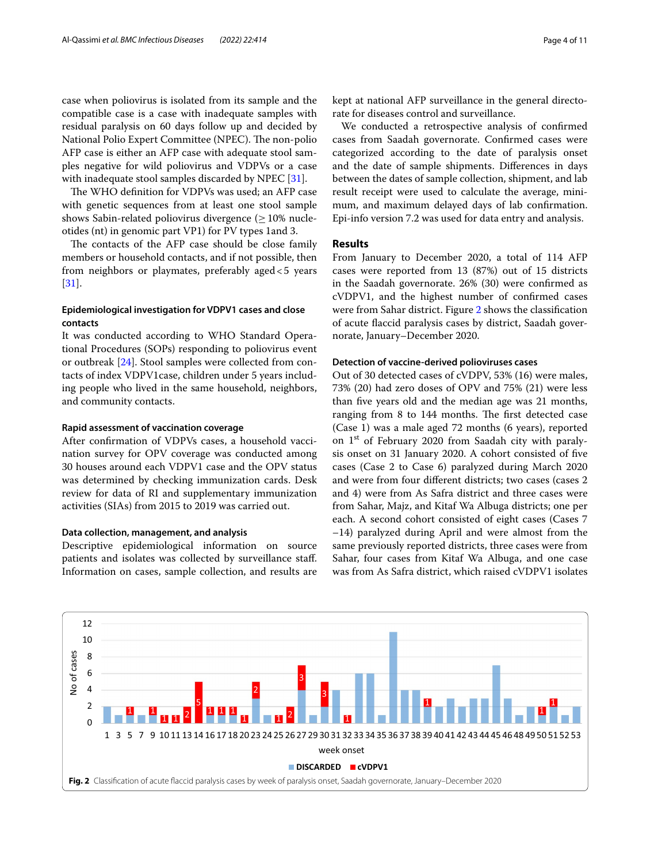case when poliovirus is isolated from its sample and the compatible case is a case with inadequate samples with residual paralysis on 60 days follow up and decided by National Polio Expert Committee (NPEC). The non-polio AFP case is either an AFP case with adequate stool samples negative for wild poliovirus and VDPVs or a case with inadequate stool samples discarded by NPEC [[31](#page-10-0)].

The WHO definition for VDPVs was used; an AFP case with genetic sequences from at least one stool sample shows Sabin-related poliovirus divergence  $(>10\%$  nucleotides (nt) in genomic part VP1) for PV types 1and 3.

The contacts of the AFP case should be close family members or household contacts, and if not possible, then from neighbors or playmates, preferably aged<5 years [[31\]](#page-10-0).

## **Epidemiological investigation for VDPV1 cases and close contacts**

It was conducted according to WHO Standard Operational Procedures (SOPs) responding to poliovirus event or outbreak [[24](#page-9-16)]. Stool samples were collected from contacts of index VDPV1case, children under 5 years including people who lived in the same household, neighbors, and community contacts.

## **Rapid assessment of vaccination coverage**

After confrmation of VDPVs cases, a household vaccination survey for OPV coverage was conducted among 30 houses around each VDPV1 case and the OPV status was determined by checking immunization cards. Desk review for data of RI and supplementary immunization activities (SIAs) from 2015 to 2019 was carried out.

## **Data collection, management, and analysis**

Descriptive epidemiological information on source patients and isolates was collected by surveillance staf. Information on cases, sample collection, and results are kept at national AFP surveillance in the general directorate for diseases control and surveillance.

We conducted a retrospective analysis of confrmed cases from Saadah governorate. Confrmed cases were categorized according to the date of paralysis onset and the date of sample shipments. Diferences in days between the dates of sample collection, shipment, and lab result receipt were used to calculate the average, minimum, and maximum delayed days of lab confrmation. Epi-info version 7.2 was used for data entry and analysis.

## **Results**

From January to December 2020, a total of 114 AFP cases were reported from 13 (87%) out of 15 districts in the Saadah governorate. 26% (30) were confrmed as cVDPV1, and the highest number of confrmed cases were from Sahar district. Figure [2](#page-3-0) shows the classifcation of acute faccid paralysis cases by district, Saadah governorate, January–December 2020.

## **Detection of vaccine‑derived polioviruses cases**

Out of 30 detected cases of cVDPV, 53% (16) were males, 73% (20) had zero doses of OPV and 75% (21) were less than fve years old and the median age was 21 months, ranging from 8 to 144 months. The first detected case (Case 1) was a male aged 72 months (6 years), reported on 1st of February 2020 from Saadah city with paralysis onset on 31 January 2020. A cohort consisted of fve cases (Case 2 to Case 6) paralyzed during March 2020 and were from four diferent districts; two cases (cases 2 and 4) were from As Safra district and three cases were from Sahar, Majz, and Kitaf Wa Albuga districts; one per each. A second cohort consisted of eight cases (Cases 7 –14) paralyzed during April and were almost from the same previously reported districts, three cases were from Sahar, four cases from Kitaf Wa Albuga, and one case was from As Safra district, which raised cVDPV1 isolates

<span id="page-3-0"></span>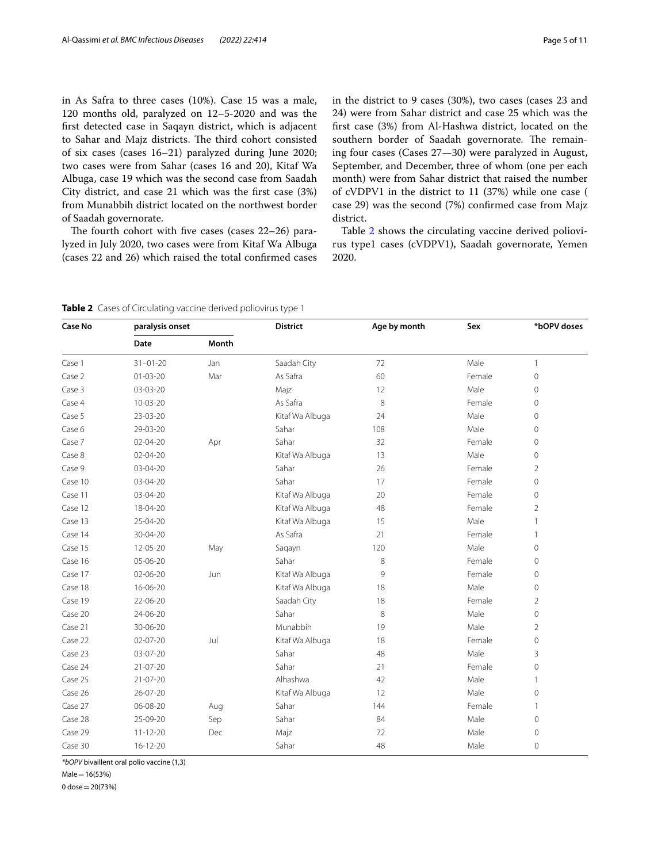in As Safra to three cases (10%). Case 15 was a male, 120 months old, paralyzed on 12–5-2020 and was the frst detected case in Saqayn district, which is adjacent to Sahar and Majz districts. The third cohort consisted of six cases (cases 16–21) paralyzed during June 2020; two cases were from Sahar (cases 16 and 20), Kitaf Wa Albuga, case 19 which was the second case from Saadah City district, and case 21 which was the frst case (3%) from Munabbih district located on the northwest border of Saadah governorate.

The fourth cohort with five cases (cases  $22-26$ ) paralyzed in July 2020, two cases were from Kitaf Wa Albuga (cases 22 and 26) which raised the total confrmed cases in the district to 9 cases (30%), two cases (cases 23 and 24) were from Sahar district and case 25 which was the frst case (3%) from Al-Hashwa district, located on the southern border of Saadah governorate. The remaining four cases (Cases 27—30) were paralyzed in August, September, and December, three of whom (one per each month) were from Sahar district that raised the number of cVDPV1 in the district to 11 (37%) while one case ( case 29) was the second (7%) confrmed case from Majz district.

Table [2](#page-4-0) shows the circulating vaccine derived poliovirus type1 cases (cVDPV1), Saadah governorate, Yemen 2020.

<span id="page-4-0"></span>**Table 2** Cases of Circulating vaccine derived poliovirus type 1

| <b>Case No</b> | paralysis onset |       | <b>District</b> | Age by month | Sex    | *bOPV doses    |
|----------------|-----------------|-------|-----------------|--------------|--------|----------------|
|                | Date            | Month |                 |              |        |                |
| Case 1         | $31 - 01 - 20$  | Jan   | Saadah City     | 72           | Male   | 1              |
| Case 2         | $01 - 03 - 20$  | Mar   | As Safra        | 60           | Female | 0              |
| Case 3         | 03-03-20        |       | Majz            | 12           | Male   | $\overline{0}$ |
| Case 4         | $10 - 03 - 20$  |       | As Safra        | 8            | Female | $\overline{0}$ |
| Case 5         | 23-03-20        |       | Kitaf Wa Albuga | 24           | Male   | 0              |
| Case 6         | 29-03-20        |       | Sahar           | 108          | Male   | $\overline{0}$ |
| Case 7         | 02-04-20        | Apr   | Sahar           | 32           | Female | 0              |
| Case 8         | 02-04-20        |       | Kitaf Wa Albuga | 13           | Male   | $\overline{0}$ |
| Case 9         | 03-04-20        |       | Sahar           | 26           | Female | $\overline{2}$ |
| Case 10        | 03-04-20        |       | Sahar           | 17           | Female | 0              |
| Case 11        | 03-04-20        |       | Kitaf Wa Albuga | 20           | Female | 0              |
| Case 12        | 18-04-20        |       | Kitaf Wa Albuga | 48           | Female | $\overline{2}$ |
| Case 13        | 25-04-20        |       | Kitaf Wa Albuga | 15           | Male   | 1              |
| Case 14        | 30-04-20        |       | As Safra        | 21           | Female | 1              |
| Case 15        | 12-05-20        | May   | Saqayn          | 120          | Male   | $\Omega$       |
| Case 16        | 05-06-20        |       | Sahar           | 8            | Female | 0              |
| Case 17        | 02-06-20        | Jun   | Kitaf Wa Albuga | 9            | Female | 0              |
| Case 18        | 16-06-20        |       | Kitaf Wa Albuga | 18           | Male   | 0              |
| Case 19        | 22-06-20        |       | Saadah City     | 18           | Female | $\overline{2}$ |
| Case 20        | 24-06-20        |       | Sahar           | 8            | Male   | $\overline{0}$ |
| Case 21        | 30-06-20        |       | Munabbih        | 19           | Male   | $\overline{2}$ |
| Case 22        | $02 - 07 - 20$  | Jul   | Kitaf Wa Albuga | 18           | Female | 0              |
| Case 23        | 03-07-20        |       | Sahar           | 48           | Male   | 3              |
| Case 24        | $21 - 07 - 20$  |       | Sahar           | 21           | Female | $\mathbf 0$    |
| Case 25        | 21-07-20        |       | Alhashwa        | 42           | Male   | 1              |
| Case 26        | 26-07-20        |       | Kitaf Wa Albuga | 12           | Male   | 0              |
| Case 27        | 06-08-20        | Aug   | Sahar           | 144          | Female | $\mathbf{1}$   |
| Case 28        | 25-09-20        | Sep   | Sahar           | 84           | Male   | $\mathbf 0$    |
| Case 29        | $11 - 12 - 20$  | Dec   | Majz            | 72           | Male   | $\mathbf 0$    |
| Case 30        | $16 - 12 - 20$  |       | Sahar           | 48           | Male   | $\mathbf 0$    |

*\*bOPV* bivaillent oral polio vaccine (1,3)

 $Male = 16(53%)$ 

0 dose=20(73%)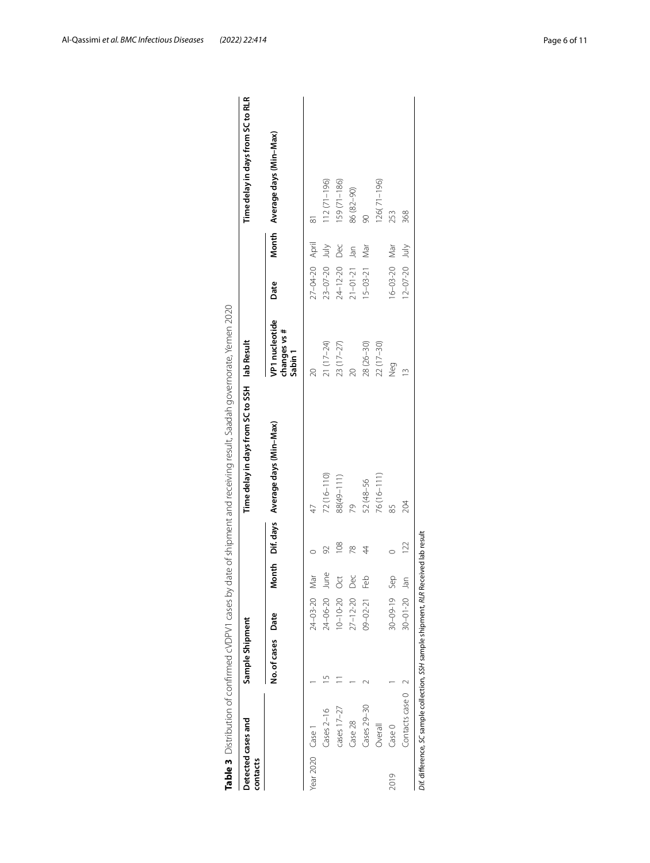| Detected cases and<br>contacts |                   | Sample Shipment   |                    |               | Time delay in days from SC to SSH      | lab Result                                           |                     |       | Time delay in days from SC to RLR |
|--------------------------------|-------------------|-------------------|--------------------|---------------|----------------------------------------|------------------------------------------------------|---------------------|-------|-----------------------------------|
|                                |                   | No. of cases Date |                    |               | Month Dif. days Average days (Min-Max) | VP1 nucleotide<br>changes vs #<br>Sabin <sub>1</sub> | Date                |       | Month Average days (Min-Max)      |
| Year 2020 Case 1               |                   |                   | $24 - 03 - 20$ Mar |               | 47                                     |                                                      | 27-04-20 April      |       | $\overline{\infty}$               |
|                                | $Cases 2-16$      |                   | 24-06-20 June      |               | $72(16 - 110)$                         | 21 (17-24)                                           | $23 - 07 - 20$      | yluly | $112(71 - 196)$                   |
|                                | cases $17 - 27$   |                   | $10 - 10 - 20$ Oct | 108           | 88(49-111)                             | 23 (17-27)                                           | $24 - 12 - 20$      | Dec   | $159(71 - 186)$                   |
|                                | Case 28           |                   | $27 - 12 - 20$ Dec | $\frac{8}{2}$ | 29                                     |                                                      | $21 - 01 - 21$ Jan  |       | 86 (82-90)                        |
|                                | Cases 29-30       |                   | 09-02-21 Feb       | 4             | 52 (48-56                              | 28 (26-30)                                           | $15 - 03 - 21$      | Nar   |                                   |
|                                | Overall           |                   |                    |               | 76(16-111)                             | $22(17-30)$                                          |                     |       | 26(71-196)                        |
| 2019                           | Case 0            |                   | 30-09-19<br>Sep    |               | 85                                     | Neg                                                  | 16-03-20 Mar        |       | 253                               |
|                                | Contacts case 0 2 |                   | $30 - 01 - 20$ Jan | 122           | 204                                    |                                                      | $12 - 07 - 20$ July |       | 368                               |

<span id="page-5-0"></span>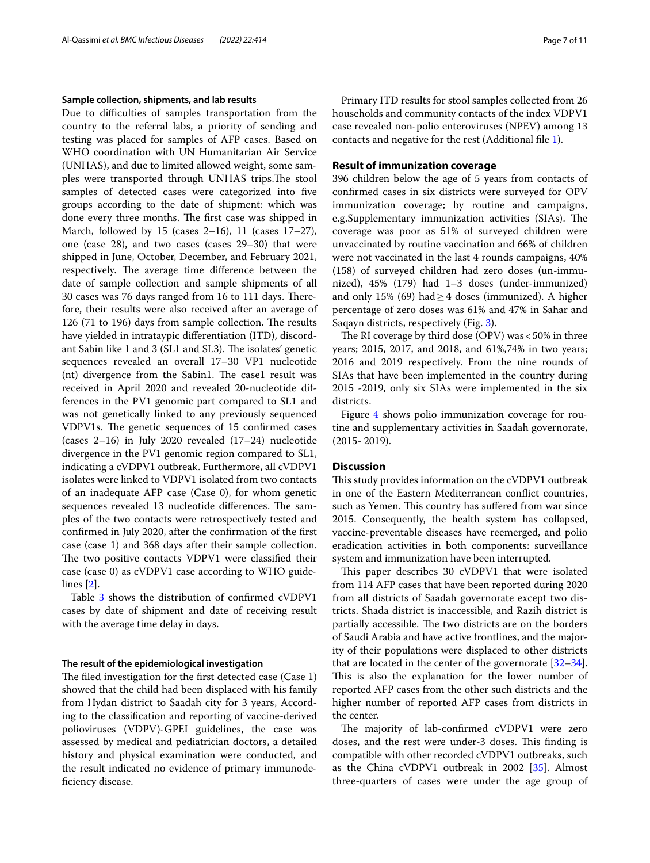## **Sample collection, shipments, and lab results**

Due to difficulties of samples transportation from the country to the referral labs, a priority of sending and testing was placed for samples of AFP cases. Based on WHO coordination with UN Humanitarian Air Service (UNHAS), and due to limited allowed weight, some samples were transported through UNHAS trips.The stool samples of detected cases were categorized into fve groups according to the date of shipment: which was done every three months. The first case was shipped in March, followed by 15 (cases 2–16), 11 (cases 17–27), one (case 28), and two cases (cases 29–30) that were shipped in June, October, December, and February 2021, respectively. The average time difference between the date of sample collection and sample shipments of all 30 cases was 76 days ranged from 16 to 111 days. Therefore, their results were also received after an average of 126 (71 to 196) days from sample collection. The results have yielded in intrataypic diferentiation (ITD), discordant Sabin like 1 and 3 (SL1 and SL3). The isolates' genetic sequences revealed an overall 17–30 VP1 nucleotide (nt) divergence from the Sabin1. The case1 result was received in April 2020 and revealed 20-nucleotide differences in the PV1 genomic part compared to SL1 and was not genetically linked to any previously sequenced VDPV1s. The genetic sequences of 15 confirmed cases (cases 2–16) in July 2020 revealed (17–24) nucleotide divergence in the PV1 genomic region compared to SL1, indicating a cVDPV1 outbreak. Furthermore, all cVDPV1 isolates were linked to VDPV1 isolated from two contacts of an inadequate AFP case (Case 0), for whom genetic sequences revealed 13 nucleotide differences. The samples of the two contacts were retrospectively tested and confrmed in July 2020, after the confrmation of the frst case (case 1) and 368 days after their sample collection. The two positive contacts VDPV1 were classified their case (case 0) as cVDPV1 case according to WHO guidelines [\[2](#page-9-1)].

Table [3](#page-5-0) shows the distribution of confirmed cVDPV1 cases by date of shipment and date of receiving result with the average time delay in days.

## **The result of the epidemiological investigation**

The filed investigation for the first detected case (Case 1) showed that the child had been displaced with his family from Hydan district to Saadah city for 3 years, According to the classifcation and reporting of vaccine-derived polioviruses (VDPV)-GPEI guidelines, the case was assessed by medical and pediatrician doctors, a detailed history and physical examination were conducted, and the result indicated no evidence of primary immunodefciency disease.

Primary ITD results for stool samples collected from 26 households and community contacts of the index VDPV1 case revealed non-polio enteroviruses (NPEV) among 13 contacts and negative for the rest (Additional fle [1\)](#page-8-0).

## **Result of immunization coverage**

396 children below the age of 5 years from contacts of confrmed cases in six districts were surveyed for OPV immunization coverage; by routine and campaigns, e.g.Supplementary immunization activities (SIAs). The coverage was poor as 51% of surveyed children were unvaccinated by routine vaccination and 66% of children were not vaccinated in the last 4 rounds campaigns, 40% (158) of surveyed children had zero doses (un-immunized), 45% (179) had 1–3 doses (under-immunized) and only 15% (69) had  $\geq$  4 doses (immunized). A higher percentage of zero doses was 61% and 47% in Sahar and Saqayn districts, respectively (Fig. [3\)](#page-7-0).

The RI coverage by third dose (OPV) was  $<$  50% in three years; 2015, 2017, and 2018, and 61%,74% in two years; 2016 and 2019 respectively. From the nine rounds of SIAs that have been implemented in the country during 2015 -2019, only six SIAs were implemented in the six districts.

Figure [4](#page-7-1) shows polio immunization coverage for routine and supplementary activities in Saadah governorate, (2015- 2019).

## **Discussion**

This study provides information on the cVDPV1 outbreak in one of the Eastern Mediterranean confict countries, such as Yemen. This country has suffered from war since 2015. Consequently, the health system has collapsed, vaccine-preventable diseases have reemerged, and polio eradication activities in both components: surveillance system and immunization have been interrupted.

This paper describes 30 cVDPV1 that were isolated from 114 AFP cases that have been reported during 2020 from all districts of Saadah governorate except two districts. Shada district is inaccessible, and Razih district is partially accessible. The two districts are on the borders of Saudi Arabia and have active frontlines, and the majority of their populations were displaced to other districts that are located in the center of the governorate [[32](#page-10-1)[–34](#page-10-2)]. This is also the explanation for the lower number of reported AFP cases from the other such districts and the higher number of reported AFP cases from districts in the center.

The majority of lab-confirmed cVDPV1 were zero doses, and the rest were under-3 doses. This finding is compatible with other recorded cVDPV1 outbreaks, such as the China cVDPV1 outbreak in 2002 [\[35](#page-10-3)]. Almost three-quarters of cases were under the age group of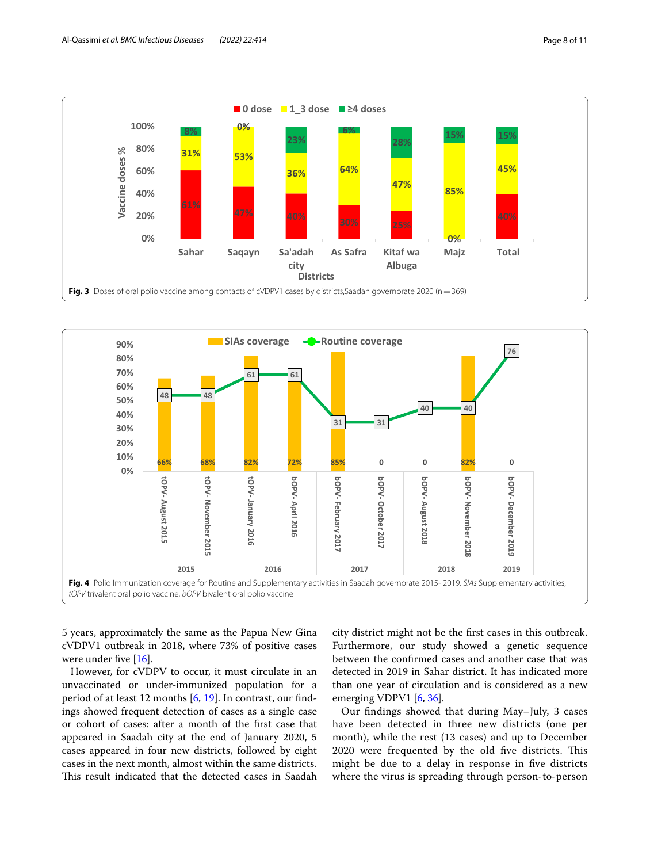

<span id="page-7-0"></span>

<span id="page-7-1"></span>5 years, approximately the same as the Papua New Gina cVDPV1 outbreak in 2018, where 73% of positive cases were under five [[16\]](#page-9-20).

However, for cVDPV to occur, it must circulate in an unvaccinated or under-immunized population for a period of at least 12 months [\[6,](#page-9-5) [19\]](#page-9-23). In contrast, our fndings showed frequent detection of cases as a single case or cohort of cases: after a month of the frst case that appeared in Saadah city at the end of January 2020, 5 cases appeared in four new districts, followed by eight cases in the next month, almost within the same districts. This result indicated that the detected cases in Saadah

city district might not be the frst cases in this outbreak. Furthermore, our study showed a genetic sequence between the confrmed cases and another case that was detected in 2019 in Sahar district. It has indicated more than one year of circulation and is considered as a new emerging VDPV1 [\[6](#page-9-5), [36\]](#page-10-4).

Our fndings showed that during May–July, 3 cases have been detected in three new districts (one per month), while the rest (13 cases) and up to December 2020 were frequented by the old five districts. This might be due to a delay in response in fve districts where the virus is spreading through person-to-person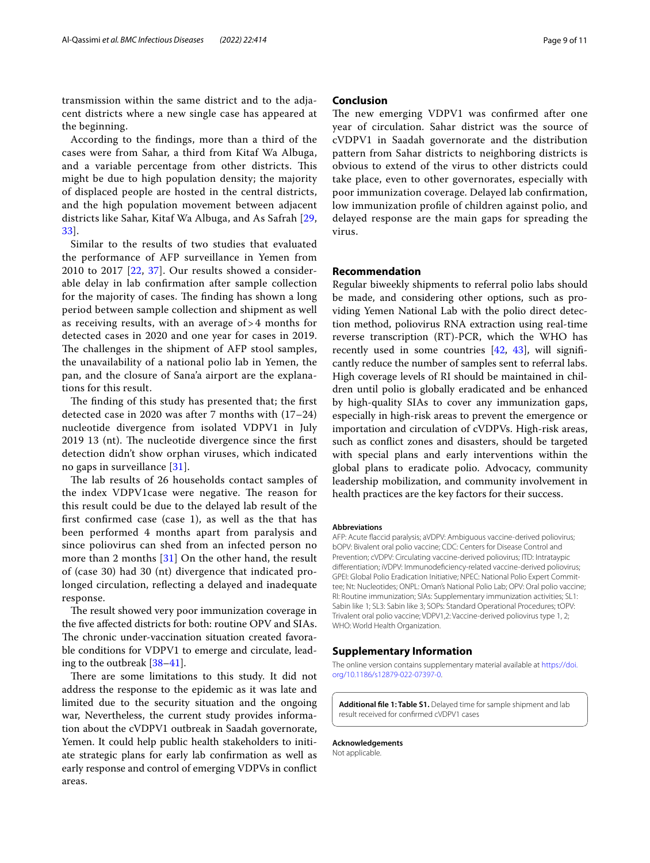transmission within the same district and to the adjacent districts where a new single case has appeared at the beginning.

According to the fndings, more than a third of the cases were from Sahar, a third from Kitaf Wa Albuga, and a variable percentage from other districts. This might be due to high population density; the majority of displaced people are hosted in the central districts, and the high population movement between adjacent districts like Sahar, Kitaf Wa Albuga, and As Safrah [\[29](#page-9-28), [33\]](#page-10-5).

Similar to the results of two studies that evaluated the performance of AFP surveillance in Yemen from 2010 to 2017 [[22,](#page-9-14) [37\]](#page-10-6). Our results showed a considerable delay in lab confrmation after sample collection for the majority of cases. The finding has shown a long period between sample collection and shipment as well as receiving results, with an average of > 4 months for detected cases in 2020 and one year for cases in 2019. The challenges in the shipment of AFP stool samples, the unavailability of a national polio lab in Yemen, the pan, and the closure of Sana'a airport are the explanations for this result.

The finding of this study has presented that; the first detected case in 2020 was after 7 months with (17–24) nucleotide divergence from isolated VDPV1 in July 2019 13 (nt). The nucleotide divergence since the first detection didn't show orphan viruses, which indicated no gaps in surveillance [\[31](#page-10-0)].

The lab results of 26 households contact samples of the index VDPV1 case were negative. The reason for this result could be due to the delayed lab result of the frst confrmed case (case 1), as well as the that has been performed 4 months apart from paralysis and since poliovirus can shed from an infected person no more than 2 months [[31\]](#page-10-0) On the other hand, the result of (case 30) had 30 (nt) divergence that indicated prolonged circulation, reflecting a delayed and inadequate response.

The result showed very poor immunization coverage in the fve afected districts for both: routine OPV and SIAs. The chronic under-vaccination situation created favorable conditions for VDPV1 to emerge and circulate, leading to the outbreak [[38](#page-10-7)[–41](#page-10-8)].

There are some limitations to this study. It did not address the response to the epidemic as it was late and limited due to the security situation and the ongoing war, Nevertheless, the current study provides information about the cVDPV1 outbreak in Saadah governorate, Yemen. It could help public health stakeholders to initiate strategic plans for early lab confrmation as well as early response and control of emerging VDPVs in confict areas.

## **Conclusion**

The new emerging VDPV1 was confirmed after one year of circulation. Sahar district was the source of cVDPV1 in Saadah governorate and the distribution pattern from Sahar districts to neighboring districts is obvious to extend of the virus to other districts could take place, even to other governorates, especially with poor immunization coverage. Delayed lab confrmation, low immunization profle of children against polio, and delayed response are the main gaps for spreading the virus.

## **Recommendation**

Regular biweekly shipments to referral polio labs should be made, and considering other options, such as providing Yemen National Lab with the polio direct detection method, poliovirus RNA extraction using real-time reverse transcription (RT)-PCR, which the WHO has recently used in some countries  $[42, 43]$  $[42, 43]$  $[42, 43]$  $[42, 43]$ , will significantly reduce the number of samples sent to referral labs. High coverage levels of RI should be maintained in children until polio is globally eradicated and be enhanced by high-quality SIAs to cover any immunization gaps, especially in high-risk areas to prevent the emergence or importation and circulation of cVDPVs. High-risk areas, such as confict zones and disasters, should be targeted with special plans and early interventions within the global plans to eradicate polio. Advocacy, community leadership mobilization, and community involvement in health practices are the key factors for their success.

#### **Abbreviations**

AFP: Acute faccid paralysis; aVDPV: Ambiguous vaccine-derived poliovirus; bOPV: Bivalent oral polio vaccine; CDC: Centers for Disease Control and Prevention; cVDPV: Circulating vaccine-derived poliovirus; ITD: Intrataypic diferentiation; iVDPV: Immunodefciency-related vaccine-derived poliovirus; GPEI: Global Polio Eradication Initiative; NPEC: National Polio Expert Committee; Nt: Nucleotides; ONPL: Oman's National Polio Lab; OPV: Oral polio vaccine; RI: Routine immunization; SIAs: Supplementary immunization activities; SL1: Sabin like 1; SL3: Sabin like 3; SOPs: Standard Operational Procedures; tOPV: Trivalent oral polio vaccine; VDPV1,2: Vaccine-derived poliovirus type 1, 2; WHO: World Health Organization.

## **Supplementary Information**

The online version contains supplementary material available at [https://doi.](https://doi.org/10.1186/s12879-022-07397-0) [org/10.1186/s12879-022-07397-0](https://doi.org/10.1186/s12879-022-07397-0).

<span id="page-8-0"></span>**Additional fle 1: Table S1.** Delayed time for sample shipment and lab result received for confrmed cVDPV1 cases

**Acknowledgements** Not applicable.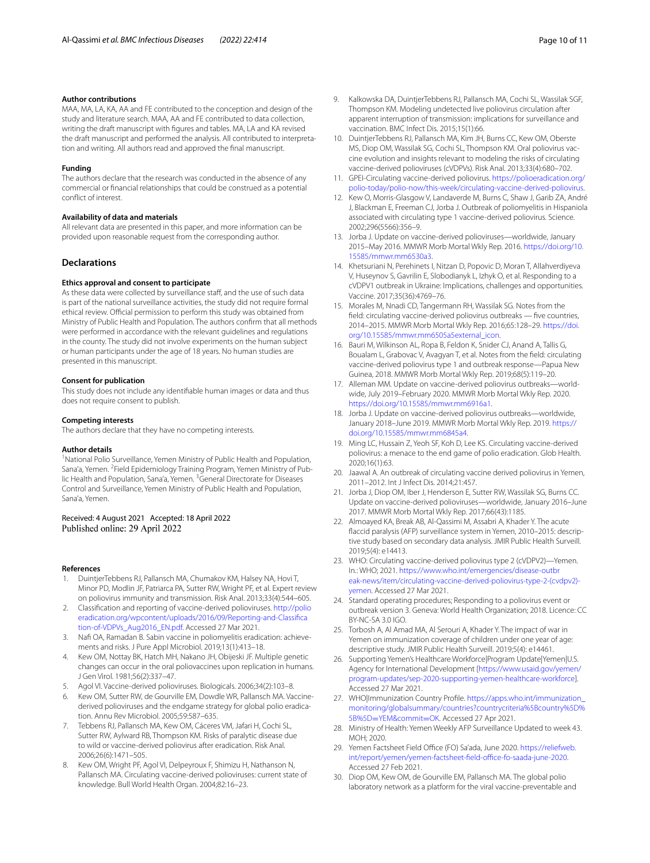#### **Author contributions**

MAA, MA, LA, KA, AA and FE contributed to the conception and design of the study and literature search. MAA, AA and FE contributed to data collection, writing the draft manuscript with fgures and tables. MA, LA and KA revised the draft manuscript and performed the analysis. All contributed to interpretation and writing. All authors read and approved the fnal manuscript.

#### **Funding**

The authors declare that the research was conducted in the absence of any commercial or fnancial relationships that could be construed as a potential confict of interest.

#### **Availability of data and materials**

All relevant data are presented in this paper, and more information can be provided upon reasonable request from the corresponding author.

## **Declarations**

#### **Ethics approval and consent to participate**

As these data were collected by surveillance staff, and the use of such data is part of the national surveillance activities, the study did not require formal ethical review. Official permission to perform this study was obtained from Ministry of Public Health and Population. The authors confrm that all methods were performed in accordance with the relevant guidelines and regulations in the county. The study did not involve experiments on the human subject or human participants under the age of 18 years. No human studies are presented in this manuscript.

## **Consent for publication**

This study does not include any identifable human images or data and thus does not require consent to publish.

#### **Competing interests**

The authors declare that they have no competing interests.

#### **Author details**

<sup>1</sup> National Polio Surveillance, Yemen Ministry of Public Health and Population, Sana'a, Yemen. <sup>2</sup> Field Epidemiology Training Program, Yemen Ministry of Public Health and Population, Sana'a, Yemen. <sup>3</sup> General Directorate for Diseases Control and Surveillance, Yemen Ministry of Public Health and Population, Sana'a, Yemen.

## Received: 4 August 2021 Accepted: 18 April 2022 Published online: 29 April 2022

#### **References**

- <span id="page-9-0"></span>1. DuintjerTebbens RJ, Pallansch MA, Chumakov KM, Halsey NA, Hovi T, Minor PD, Modlin JF, Patriarca PA, Sutter RW, Wright PF, et al. Expert review on poliovirus immunity and transmission. Risk Anal. 2013;33(4):544–605.
- <span id="page-9-1"></span>2. Classifcation and reporting of vaccine-derived polioviruses. [http://polio](http://polioeradication.org/wpcontent/uploads/2016/09/Reporting-and-Classification-of-VDPVs_Aug2016_EN.pdf) [eradication.org/wpcontent/uploads/2016/09/Reporting-and-Classifca](http://polioeradication.org/wpcontent/uploads/2016/09/Reporting-and-Classification-of-VDPVs_Aug2016_EN.pdf) [tion-of-VDPVs\\_Aug2016\\_EN.pdf](http://polioeradication.org/wpcontent/uploads/2016/09/Reporting-and-Classification-of-VDPVs_Aug2016_EN.pdf). Accessed 27 Mar 2021.
- <span id="page-9-2"></span>3. Nafi OA, Ramadan B. Sabin vaccine in poliomyelitis eradication: achievements and risks. J Pure Appl Microbiol. 2019;13(1):413–18.
- <span id="page-9-3"></span>4. Kew OM, Nottay BK, Hatch MH, Nakano JH, Obijeski JF. Multiple genetic changes can occur in the oral poliovaccines upon replication in humans. J Gen Virol. 1981;56(2):337–47.
- <span id="page-9-4"></span>5. Agol VI. Vaccine-derived polioviruses. Biologicals. 2006;34(2):103–8.
- <span id="page-9-5"></span>6. Kew OM, Sutter RW, de Gourville EM, Dowdle WR, Pallansch MA. Vaccinederived polioviruses and the endgame strategy for global polio eradication. Annu Rev Microbiol. 2005;59:587–635.
- <span id="page-9-6"></span>7. Tebbens RJ, Pallansch MA, Kew OM, Cáceres VM, Jafari H, Cochi SL, Sutter RW, Aylward RB, Thompson KM. Risks of paralytic disease due to wild or vaccine-derived poliovirus after eradication. Risk Anal. 2006;26(6):1471–505.
- <span id="page-9-7"></span>8. Kew OM, Wright PF, Agol VI, Delpeyroux F, Shimizu H, Nathanson N, Pallansch MA. Circulating vaccine-derived polioviruses: current state of knowledge. Bull World Health Organ. 2004;82:16–23.
- <span id="page-9-8"></span>9. Kalkowska DA, DuintjerTebbens RJ, Pallansch MA, Cochi SL, Wassilak SGF, Thompson KM. Modeling undetected live poliovirus circulation after apparent interruption of transmission: implications for surveillance and vaccination. BMC Infect Dis. 2015;15(1):66.
- <span id="page-9-9"></span>10. DuintjerTebbens RJ, Pallansch MA, Kim JH, Burns CC, Kew OM, Oberste MS, Diop OM, Wassilak SG, Cochi SL, Thompson KM. Oral poliovirus vaccine evolution and insights relevant to modeling the risks of circulating vaccine-derived polioviruses (cVDPVs). Risk Anal. 2013;33(4):680–702.
- <span id="page-9-10"></span>11. GPEI-Circulating vaccine-derived poliovirus. [https://polioeradication.org/](https://polioeradication.org/polio-today/polio-now/this-week/circulating-vaccine-derived-poliovirus) [polio-today/polio-now/this-week/circulating-vaccine-derived-poliovirus.](https://polioeradication.org/polio-today/polio-now/this-week/circulating-vaccine-derived-poliovirus)
- <span id="page-9-11"></span>12. Kew O, Morris-Glasgow V, Landaverde M, Burns C, Shaw J, Garib ZA, André J, Blackman E, Freeman CJ, Jorba J. Outbreak of poliomyelitis in Hispaniola associated with circulating type 1 vaccine-derived poliovirus. Science. 2002;296(5566):356–9.
- <span id="page-9-17"></span>13. Jorba J. Update on vaccine-derived polioviruses—worldwide, January 2015–May 2016. MMWR Morb Mortal Wkly Rep. 2016. [https://doi.org/10.](https://doi.org/10.15585/mmwr.mm6530a3) [15585/mmwr.mm6530a3](https://doi.org/10.15585/mmwr.mm6530a3).
- <span id="page-9-18"></span>14. Khetsuriani N, Perehinets I, Nitzan D, Popovic D, Moran T, Allahverdiyeva V, Huseynov S, Gavrilin E, Slobodianyk L, Izhyk O, et al. Responding to a cVDPV1 outbreak in Ukraine: Implications, challenges and opportunities. Vaccine. 2017;35(36):4769–76.
- <span id="page-9-19"></span>15. Morales M, Nnadi CD, Tangermann RH, Wassilak SG. Notes from the feld: circulating vaccine-derived poliovirus outbreaks — fve countries, 2014–2015. MMWR Morb Mortal Wkly Rep. 2016;65:128–29. [https://doi.](https://doi.org/10.15585/mmwr.mm6505a5external_icon) [org/10.15585/mmwr.mm6505a5external\\_icon.](https://doi.org/10.15585/mmwr.mm6505a5external_icon)
- <span id="page-9-20"></span>16. Bauri M, Wilkinson AL, Ropa B, Feldon K, Snider CJ, Anand A, Tallis G, Boualam L, Grabovac V, Avagyan T, et al. Notes from the feld: circulating vaccine-derived poliovirus type 1 and outbreak response—Papua New Guinea, 2018. MMWR Morb Mortal Wkly Rep. 2019;68(5):119–20.
- <span id="page-9-21"></span>17. Alleman MM. Update on vaccine-derived poliovirus outbreaks-worldwide, July 2019–February 2020. MMWR Morb Mortal Wkly Rep. 2020. <https://doi.org/10.15585/mmwr.mm6916a1>.
- <span id="page-9-22"></span>18. Jorba J. Update on vaccine-derived poliovirus outbreaks—worldwide, January 2018–June 2019. MMWR Morb Mortal Wkly Rep. 2019. [https://](https://doi.org/10.15585/mmwr.mm6845a4) [doi.org/10.15585/mmwr.mm6845a4.](https://doi.org/10.15585/mmwr.mm6845a4)
- <span id="page-9-23"></span>19. Ming LC, Hussain Z, Yeoh SF, Koh D, Lee KS. Circulating vaccine-derived poliovirus: a menace to the end game of polio eradication. Glob Health. 2020;16(1):63.
- <span id="page-9-12"></span>20. Jaawal A. An outbreak of circulating vaccine derived poliovirus in Yemen, 2011–2012. Int J Infect Dis. 2014;21:457.
- <span id="page-9-13"></span>21. Jorba J, Diop OM, Iber J, Henderson E, Sutter RW, Wassilak SG, Burns CC. Update on vaccine-derived polioviruses—worldwide, January 2016–June 2017. MMWR Morb Mortal Wkly Rep. 2017;66(43):1185.
- <span id="page-9-14"></span>22. Almoayed KA, Break AB, Al-Qassimi M, Assabri A, Khader Y. The acute flaccid paralysis (AFP) surveillance system in Yemen, 2010–2015: descriptive study based on secondary data analysis. JMIR Public Health Surveill. 2019;5(4): e14413.
- <span id="page-9-15"></span>23. WHO: Circulating vaccine-derived poliovirus type 2 (cVDPV2)—Yemen. In*.*: WHO; 2021. [https://www.who.int/emergencies/disease-outbr](https://www.who.int/emergencies/disease-outbreak-news/item/circulating-vaccine-derived-poliovirus-type-2-(cvdpv2)-yemen) [eak-news/item/circulating-vaccine-derived-poliovirus-type-2-\(cvdpv2\)](https://www.who.int/emergencies/disease-outbreak-news/item/circulating-vaccine-derived-poliovirus-type-2-(cvdpv2)-yemen) [yemen](https://www.who.int/emergencies/disease-outbreak-news/item/circulating-vaccine-derived-poliovirus-type-2-(cvdpv2)-yemen). Accessed 27 Mar 2021.
- <span id="page-9-16"></span>24. Standard operating procedures; Responding to a poliovirus event or outbreak version 3. Geneva: World Health Organization; 2018. Licence: CC  $BY-NC-SA 3.0$  IGO.
- <span id="page-9-24"></span>25. Torbosh A, Al Amad MA, Al Serouri A, Khader Y. The impact of war in Yemen on immunization coverage of children under one year of age: descriptive study. JMIR Public Health Surveill. 2019;5(4): e14461.
- <span id="page-9-25"></span>26. Supporting Yemen's Healthcare Workforce|Program Update|Yemen|U.S. Agency for International Development [[https://www.usaid.gov/yemen/](https://www.usaid.gov/yemen/program-updates/sep-2020-supporting-yemen-healthcare-workforce) [program-updates/sep-2020-supporting-yemen-healthcare-workforce\]](https://www.usaid.gov/yemen/program-updates/sep-2020-supporting-yemen-healthcare-workforce). Accessed 27 Mar 2021.
- <span id="page-9-26"></span>27. WHO|Immunization Country Profle. [https://apps.who.int/immunization\\_](https://apps.who.int/immunization_monitoring/globalsummary/countries?countrycriteria%5Bcountry%5D%5B%5D=YEM&commit=OK) [monitoring/globalsummary/countries?countrycriteria%5Bcountry%5D%](https://apps.who.int/immunization_monitoring/globalsummary/countries?countrycriteria%5Bcountry%5D%5B%5D=YEM&commit=OK) 5B%5D=YEM&commit=OK. Accessed 27 Apr 2021.
- <span id="page-9-27"></span>28. [Ministry of Health: Yemen W](https://apps.who.int/immunization_monitoring/globalsummary/countries?countrycriteria%5Bcountry%5D%5B%5D=YEM&commit=OK)eekly AFP Surveillance Updated to week 43. MOH; 2020.
- <span id="page-9-28"></span>29. Yemen Factsheet Field Office (FO) Sa'ada, June 2020. [https://reliefweb.](https://reliefweb.int/report/yemen/yemen-factsheet-field-office-fo-saada-june-2020) int/report/yemen/yemen-factsheet-field-office-fo-saada-june-2020. Accessed 27 Feb 2021.
- <span id="page-9-29"></span>30. Diop OM, Kew OM, de Gourville EM, Pallansch MA. The global polio laboratory network as a platform for the viral vaccine-preventable and